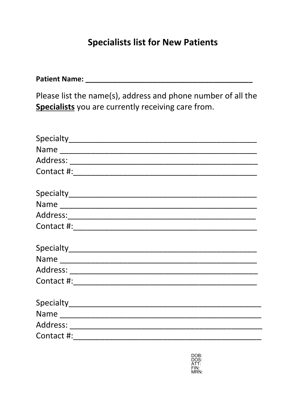# **Specialists list for New Patients**

| Please list the name(s), address and phone number of all the<br>Specialists you are currently receiving care from. |  |  |  |  |  |  |  |  |
|--------------------------------------------------------------------------------------------------------------------|--|--|--|--|--|--|--|--|
|                                                                                                                    |  |  |  |  |  |  |  |  |
| Name                                                                                                               |  |  |  |  |  |  |  |  |
|                                                                                                                    |  |  |  |  |  |  |  |  |
|                                                                                                                    |  |  |  |  |  |  |  |  |
|                                                                                                                    |  |  |  |  |  |  |  |  |
|                                                                                                                    |  |  |  |  |  |  |  |  |
|                                                                                                                    |  |  |  |  |  |  |  |  |
|                                                                                                                    |  |  |  |  |  |  |  |  |
|                                                                                                                    |  |  |  |  |  |  |  |  |
|                                                                                                                    |  |  |  |  |  |  |  |  |
|                                                                                                                    |  |  |  |  |  |  |  |  |
|                                                                                                                    |  |  |  |  |  |  |  |  |
|                                                                                                                    |  |  |  |  |  |  |  |  |
|                                                                                                                    |  |  |  |  |  |  |  |  |
|                                                                                                                    |  |  |  |  |  |  |  |  |
| Contact #:                                                                                                         |  |  |  |  |  |  |  |  |

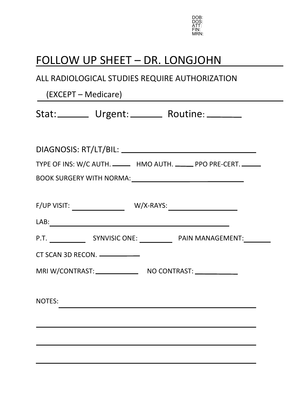

# FOLLOW UP SHEET – DR. LONGJOHN

## ALL RADIOLOGICAL STUDIES REQUIRE AUTHORIZATION

| (EXCEPT – Medicare)                                                  |
|----------------------------------------------------------------------|
| Stat: Urgent: Routine: ______                                        |
|                                                                      |
| TYPE OF INS: W/C AUTH. _______ HMO AUTH. ______ PPO PRE-CERT. ______ |
|                                                                      |
|                                                                      |
|                                                                      |
|                                                                      |
|                                                                      |
| CT SCAN 3D RECON. ___________                                        |
| MRI W/CONTRAST: NO CONTRAST:                                         |
| NOTES:                                                               |
|                                                                      |
|                                                                      |
|                                                                      |
|                                                                      |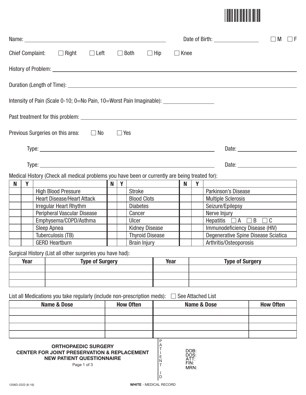

|   |             |             |                                                                                                                                         |                        |        |                                               | Date of Birth: New York Date of Birth: |                       |                                      |                        | $\Box$ M<br>$\Box$ F                             |                  |
|---|-------------|-------------|-----------------------------------------------------------------------------------------------------------------------------------------|------------------------|--------|-----------------------------------------------|----------------------------------------|-----------------------|--------------------------------------|------------------------|--------------------------------------------------|------------------|
|   |             |             | Chief Complaint: $\Box$ Right $\Box$ Left $\Box$ Both                                                                                   |                        |        |                                               |                                        | $\Box$ Hip            | $\Box$ Knee                          |                        |                                                  |                  |
|   |             |             |                                                                                                                                         |                        |        |                                               |                                        |                       |                                      |                        |                                                  |                  |
|   |             |             |                                                                                                                                         |                        |        |                                               |                                        |                       |                                      |                        |                                                  |                  |
|   |             |             | Intensity of Pain (Scale 0-10; 0=No Pain, 10=Worst Pain Imaginable): ____________                                                       |                        |        |                                               |                                        |                       |                                      |                        |                                                  |                  |
|   |             |             |                                                                                                                                         |                        |        |                                               |                                        |                       |                                      |                        |                                                  |                  |
|   |             |             | Previous Surgeries on this area: $\Box$ No $\Box$ Yes                                                                                   |                        |        |                                               |                                        |                       |                                      |                        |                                                  |                  |
|   |             |             |                                                                                                                                         |                        |        |                                               |                                        |                       |                                      |                        |                                                  |                  |
|   |             |             |                                                                                                                                         |                        |        |                                               |                                        |                       |                                      |                        |                                                  |                  |
|   |             |             | Medical History (Check all medical problems you have been or currently are being treated for):                                          |                        |        |                                               |                                        |                       |                                      |                        |                                                  |                  |
| N | Y           |             |                                                                                                                                         |                        | N<br>Y |                                               |                                        |                       | N.                                   | <b>Y</b>               |                                                  |                  |
|   |             |             | <b>High Blood Pressure</b>                                                                                                              |                        |        | Stroke                                        |                                        |                       |                                      |                        | Parkinson's Disease                              |                  |
|   |             |             | <b>Heart Disease/Heart Attack</b>                                                                                                       |                        |        |                                               | <b>Blood Clots</b>                     |                       |                                      |                        | Multiple Sclerosis                               |                  |
|   |             |             | <b>Irregular Heart Rhythm</b>                                                                                                           |                        |        | <b>Diabetes</b>                               |                                        |                       |                                      |                        | Seizure/Epilepsy                                 |                  |
|   |             |             | Peripheral Vascular Disease<br>Emphysema/COPD/Asthma                                                                                    |                        |        | Cancer<br>Ulcer                               |                                        |                       |                                      |                        | Nerve Injury<br>Hepatitis $\Box A \Box B \Box C$ |                  |
|   |             | Sleep Apnea |                                                                                                                                         |                        |        | <b>Kidney Disease</b>                         |                                        |                       |                                      |                        | Immunodeficiency Disease (HIV)                   |                  |
|   |             |             | Tuberculosis (TB)                                                                                                                       |                        |        |                                               |                                        |                       |                                      |                        | Degenerative Spine Disease Sciatica              |                  |
|   |             |             | <b>GERD Heartburn</b>                                                                                                                   |                        |        | <b>Thyroid Disease</b><br><b>Brain Injury</b> |                                        |                       |                                      | Arthritis/Osteoporosis |                                                  |                  |
|   |             |             |                                                                                                                                         |                        |        |                                               |                                        |                       |                                      |                        |                                                  |                  |
|   |             |             | Surgical History (List all other surgeries you have had):                                                                               |                        |        |                                               |                                        |                       |                                      |                        |                                                  |                  |
|   | <b>Year</b> |             |                                                                                                                                         | <b>Type of Surgery</b> |        |                                               |                                        | <b>Year</b>           |                                      |                        | <b>Type of Surgery</b>                           |                  |
|   |             |             |                                                                                                                                         |                        |        |                                               |                                        |                       |                                      |                        |                                                  |                  |
|   |             |             | List all Medications you take regularly (include non-prescription meds):                                                                |                        |        |                                               |                                        |                       |                                      |                        | See Attached List                                |                  |
|   |             |             | <b>Name &amp; Dose</b>                                                                                                                  |                        |        | <b>How Often</b>                              |                                        |                       |                                      |                        | <b>Name &amp; Dose</b>                           | <b>How Often</b> |
|   |             |             |                                                                                                                                         |                        |        |                                               |                                        |                       |                                      |                        |                                                  |                  |
|   |             |             |                                                                                                                                         |                        |        |                                               |                                        |                       |                                      |                        |                                                  |                  |
|   |             |             | <b>ORTHOPAEDIC SURGERY</b><br><b>CENTER FOR JOINT PRESERVATION &amp; REPLACEMENT</b><br><b>NEW PATIENT QUESTIONNAIRE</b><br>Page 1 of 3 |                        |        |                                               |                                        | Α<br>Ε<br>N<br>Τ<br>D | DOB:<br>DOS:<br>ATT:<br>FIN:<br>MRN: |                        |                                                  |                  |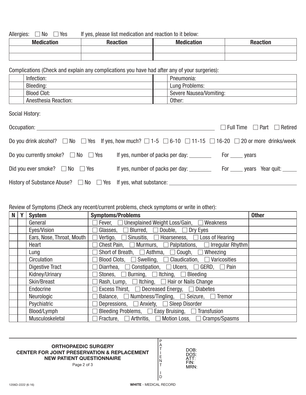Allergies:  $\Box$  No  $\Box$ If yes, please list medication and reaction to it below:

| <b>Medication</b> | <b>Reaction</b> | <b>Medication</b> | <b>Reaction</b> |
|-------------------|-----------------|-------------------|-----------------|
|                   |                 |                   |                 |
|                   |                 |                   |                 |

Complications (Check and explain any complications you have had after any of your surgeries):

| Infection:           | Pneumonia:              |
|----------------------|-------------------------|
| Bleeding:            | Lung Problems:          |
| <b>Blood Clot:</b>   | Severe Nausea/Vomiting: |
| Anesthesia Reaction: | Other:                  |

Social History:

| Occupation: experience of the state of the state of the state of the state of the state of the state of the state of the state of the state of the state of the state of the state of the state of the state of the state of t |                                  | $\Box$ Full Time $\Box$ Part $\Box$ Retired |
|--------------------------------------------------------------------------------------------------------------------------------------------------------------------------------------------------------------------------------|----------------------------------|---------------------------------------------|
| Do you drink alcohol? $\Box$ No $\Box$ Yes If yes, how much? $\Box$ 1-5 $\Box$ 6-10 $\Box$ 11-15 $\Box$ 16-20 $\Box$ 20 or more drinks/week                                                                                    |                                  |                                             |
| Do you currently smoke? $\Box$ No $\Box$ Yes                                                                                                                                                                                   |                                  |                                             |
| Did you ever smoke? $\Box$ No $\Box$ Yes                                                                                                                                                                                       | If yes, number of packs per day: | For ______ years Year quit: ______          |
| History of Substance Abuse? □ No □ Yes If yes, what substance: __________________                                                                                                                                              |                                  |                                             |

#### Review of Symptoms (Check any recent/current problems, check symptoms or write in other):

| N | <b>System</b>             | <b>Symptoms/Problems</b>                                                    | <b>Other</b> |
|---|---------------------------|-----------------------------------------------------------------------------|--------------|
|   | General                   | Fever, □ Unexplained Weight Loss/Gain, □ Weakness                           |              |
|   | Eyes/Vision               | Glasses, $\Box$ Blurred, $\Box$ Double, $\Box$ Dry Eyes                     |              |
|   | Ears, Nose, Throat, Mouth | $\Box$ Vertigo, $\Box$ Sinusitis, $\Box$ Hoarseness, $\Box$ Loss of Hearing |              |
|   | Heart                     | Chest Pain, $\Box$ Murmurs, $\Box$ Palpitations, $\Box$ Irregular Rhythm    |              |
|   | Lung                      | Short of Breath, $\Box$ Asthma, $\Box$ Cough, $\Box$ Wheezing               |              |
|   | Circulation               | Blood Clots, $\Box$ Swelling, $\Box$ Claudication, $\Box$ Varicosities      |              |
|   | <b>Digestive Tract</b>    | Diarrhea, $\Box$ Constipation, $\Box$ Ulcers, $\Box$ GERD, $\Box$ Pain      |              |
|   | Kidney/Urinary            | Stones, $\Box$ Burning, $\Box$ Itching, $\Box$ Bleeding                     |              |
|   | Skin/Breast               | Rash, Lump, $\Box$ Itching, $\Box$ Hair or Nails Change                     |              |
|   | Endocrine                 | Excess Thirst, □ Decreased Energy, □ Diabetes                               |              |
|   | Neurologic                | Balance, $\Box$ Numbness/Tingling, $\Box$ Seizure, $\Box$ Tremor            |              |
|   | Psychiatric               | Depressions, $\Box$ Anxiety, $\Box$ Sleep Disorder                          |              |
|   | Blood/Lymph               | Bleeding Problems, $\Box$ Easy Bruising, $\Box$ Transfusion                 |              |
|   | Musculoskeletal           | Fracture, $\Box$ Arthritis, $\Box$ Motion Loss, $\Box$ Cramps/Spasms        |              |

#### **ORTHOPAEDIC SURGERY CENTER FOR JOINT PRESERVATION & REPLACEMENT NEW PATIENT QUESTIONNAIRE**

Page 2 of 3

P A T I E N T I D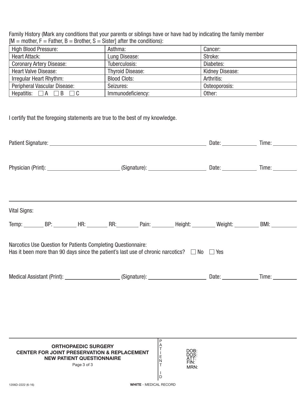Family History (Mark any conditions that your parents or siblings have or have had by indicating the family member  $[M = mother, F = Father, B = Brother, S = Sister]$  after the conditions):

| <b>High Blood Pressure:</b>       | Asthma:                 | Cancer:         |
|-----------------------------------|-------------------------|-----------------|
| <b>Heart Attack:</b>              | Lung Disease:           | Stroke:         |
| <b>Coronary Artery Disease:</b>   | Tuberculosis:           | Diabetes:       |
| <b>Heart Valve Disease:</b>       | <b>Thyroid Disease:</b> | Kidney Disease: |
| Irregular Heart Rhythm:           | <b>Blood Clots:</b>     | Arthritis:      |
| Peripheral Vascular Disease:      | Seizures:               | Osteoporosis:   |
| Hepatitis: $\Box A \Box B \Box C$ | Immunodeficiency:       | Other:          |

I certify that the foregoing statements are true to the best of my knowledge.

| <b>Vital Signs:</b> |                                                                                                                                                                        |                          |                              |                                                                     |
|---------------------|------------------------------------------------------------------------------------------------------------------------------------------------------------------------|--------------------------|------------------------------|---------------------------------------------------------------------|
|                     |                                                                                                                                                                        |                          |                              | Temp: BP: BP: HR: RR: RR: Pain: Height: Weight: Weight: BMI: _ BMI: |
|                     | Narcotics Use Question for Patients Completing Questionnaire:<br>Has it been more than 90 days since the patient's last use of chronic narcotics? $\Box$ No $\Box$ Yes |                          |                              |                                                                     |
|                     |                                                                                                                                                                        |                          |                              |                                                                     |
|                     |                                                                                                                                                                        |                          |                              |                                                                     |
|                     |                                                                                                                                                                        |                          |                              |                                                                     |
|                     |                                                                                                                                                                        | P.                       |                              |                                                                     |
|                     | <b>ORTHOPAEDIC SURGERY</b><br><b>CENTER FOR JOINT PRESERVATION &amp; REPLACEMENT</b><br><b>NEW PATIENT QUESTIONNAIRE</b><br>$D_{\alpha\alpha\alpha}$                   | A<br>$T_{L}$<br>$E$<br>N | DOB:<br>DOS:<br>ATT:<br>FIN: |                                                                     |

N T I D

MRN: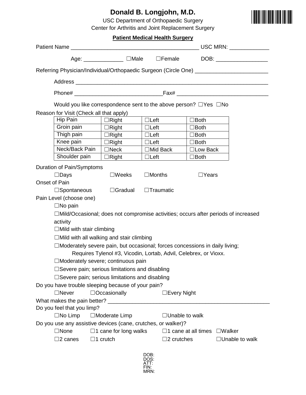## **Donald B. Longjohn, M.D.**

USC Department of Orthopaedic Surgery Center for Arthritis and Joint Replacement Surgery



#### **Patient Medical Health Surgery**

| Referring Physician/Individual/Orthopaedic Surgeon (Circle One) _________________   |                                         |                                                                  |                                          |                       |  |  |  |  |  |  |
|-------------------------------------------------------------------------------------|-----------------------------------------|------------------------------------------------------------------|------------------------------------------|-----------------------|--|--|--|--|--|--|
|                                                                                     |                                         |                                                                  |                                          |                       |  |  |  |  |  |  |
|                                                                                     |                                         |                                                                  |                                          |                       |  |  |  |  |  |  |
| Would you like correspondence sent to the above person? $\Box$ Yes $\Box$ No        |                                         |                                                                  |                                          |                       |  |  |  |  |  |  |
|                                                                                     | Reason for Visit (Check all that apply) |                                                                  |                                          |                       |  |  |  |  |  |  |
| Hip Pain                                                                            | $\Box$ Right                            | $\Box$ Left                                                      | $\Box$ Both                              |                       |  |  |  |  |  |  |
| Groin pain                                                                          | $\Box$ Right                            | $\Box$ Left                                                      | $\Box$ Both                              |                       |  |  |  |  |  |  |
| Thigh pain                                                                          | $\Box$ Right                            | $\Box$ Left                                                      | $\Box$ Both                              |                       |  |  |  |  |  |  |
| Knee pain                                                                           | $\Box$ Right                            | $\Box$ Left                                                      | $\square$ Both                           |                       |  |  |  |  |  |  |
| Neck/Back Pain                                                                      | $\Box$ Neck                             | $\Box$ Mid Back                                                  | □ Low Back                               |                       |  |  |  |  |  |  |
| Shoulder pain                                                                       | $\Box$ Right                            | $\Box$ Left                                                      | $\Box$ Both                              |                       |  |  |  |  |  |  |
| Duration of Pain/Symptoms                                                           |                                         |                                                                  |                                          |                       |  |  |  |  |  |  |
| $\square$ Days                                                                      | $\square$ Weeks                         | $\Box$ Months                                                    | $\Box$ Years                             |                       |  |  |  |  |  |  |
| Onset of Pain                                                                       |                                         |                                                                  |                                          |                       |  |  |  |  |  |  |
| $\square$ Spontaneous                                                               | $\Box$ Gradual                          | $\Box$ Traumatic                                                 |                                          |                       |  |  |  |  |  |  |
| Pain Level (choose one)                                                             |                                         |                                                                  |                                          |                       |  |  |  |  |  |  |
| $\Box$ No pain                                                                      |                                         |                                                                  |                                          |                       |  |  |  |  |  |  |
| □Mild/Occasional; does not compromise activities; occurs after periods of increased |                                         |                                                                  |                                          |                       |  |  |  |  |  |  |
| activity                                                                            |                                         |                                                                  |                                          |                       |  |  |  |  |  |  |
| $\Box$ Mild with stair climbing                                                     |                                         |                                                                  |                                          |                       |  |  |  |  |  |  |
| $\Box$ Mild with all walking and stair climbing                                     |                                         |                                                                  |                                          |                       |  |  |  |  |  |  |
| $\Box$ Moderately severe pain, but occasional; forces concessions in daily living;  |                                         |                                                                  |                                          |                       |  |  |  |  |  |  |
|                                                                                     |                                         | Requires Tylenol #3, Vicodin, Lortab, Advil, Celebrex, or Vioxx. |                                          |                       |  |  |  |  |  |  |
| Moderately severe; continuous pain                                                  |                                         |                                                                  |                                          |                       |  |  |  |  |  |  |
| $\Box$ Severe pain; serious limitations and disabling                               |                                         |                                                                  |                                          |                       |  |  |  |  |  |  |
| $\square$ Severe pain; serious limitations and disabling                            |                                         |                                                                  |                                          |                       |  |  |  |  |  |  |
| Do you have trouble sleeping because of your pain?                                  |                                         |                                                                  |                                          |                       |  |  |  |  |  |  |
| $\Box$ Never                                                                        | $\Box$ Occasionally                     | $\Box$ Every Night                                               |                                          |                       |  |  |  |  |  |  |
|                                                                                     |                                         |                                                                  |                                          |                       |  |  |  |  |  |  |
| Do you feel that you limp?                                                          |                                         |                                                                  |                                          |                       |  |  |  |  |  |  |
| $\Box$ No Limp                                                                      | $\Box$ Moderate Limp                    | $\Box$ Unable to walk                                            |                                          |                       |  |  |  |  |  |  |
| Do you use any assistive devices (cane, crutches, or walker)?                       |                                         |                                                                  |                                          |                       |  |  |  |  |  |  |
| $\Box$ None                                                                         | $\Box$ 1 cane for long walks            |                                                                  | $\Box$ 1 cane at all times $\Box$ Walker |                       |  |  |  |  |  |  |
| $\square$ 2 canes                                                                   | $\Box$ 1 crutch                         | $\square$ 2 crutches                                             |                                          | $\Box$ Unable to walk |  |  |  |  |  |  |
|                                                                                     |                                         |                                                                  |                                          |                       |  |  |  |  |  |  |

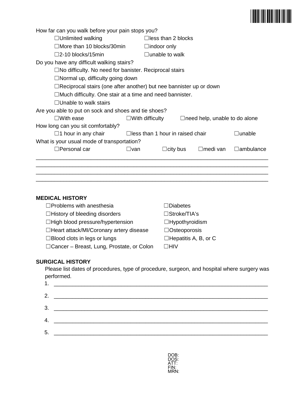

| How far can you walk before your pain stops you?                          |                           |                                         |                                      |                  |  |  |  |
|---------------------------------------------------------------------------|---------------------------|-----------------------------------------|--------------------------------------|------------------|--|--|--|
| $\Box$ Unlimited walking                                                  |                           | $\Box$ less than 2 blocks               |                                      |                  |  |  |  |
| $\Box$ More than 10 blocks/30min                                          |                           | $\Box$ indoor only                      |                                      |                  |  |  |  |
| $\square$ 2-10 blocks/15min                                               |                           | $\Box$ unable to walk                   |                                      |                  |  |  |  |
| Do you have any difficult walking stairs?                                 |                           |                                         |                                      |                  |  |  |  |
| $\Box$ No difficulty. No need for banister. Reciprocal stairs             |                           |                                         |                                      |                  |  |  |  |
| $\Box$ Normal up, difficulty going down                                   |                           |                                         |                                      |                  |  |  |  |
| $\Box$ Reciprocal stairs (one after another) but nee bannister up or down |                           |                                         |                                      |                  |  |  |  |
| $\Box$ Much difficulty. One stair at a time and need bannister.           |                           |                                         |                                      |                  |  |  |  |
| $\Box$ Unable to walk stairs                                              |                           |                                         |                                      |                  |  |  |  |
| Are you able to put on sock and shoes and tie shoes?                      |                           |                                         |                                      |                  |  |  |  |
| $\square$ With ease                                                       | $\square$ With difficulty |                                         | $\Box$ need help, unable to do alone |                  |  |  |  |
| How long can you sit comfortably?                                         |                           |                                         |                                      |                  |  |  |  |
| $\Box$ 1 hour in any chair                                                |                           | $\Box$ less than 1 hour in raised chair | ∃unable                              |                  |  |  |  |
| What is your usual mode of transportation?                                |                           |                                         |                                      |                  |  |  |  |
| $\square$ Personal car                                                    | ⊟van                      | $\Box$ city bus                         | ⊟medi van                            | $\Box$ ambulance |  |  |  |
|                                                                           |                           |                                         |                                      |                  |  |  |  |
|                                                                           |                           |                                         |                                      |                  |  |  |  |
|                                                                           |                           |                                         |                                      |                  |  |  |  |
|                                                                           |                           |                                         |                                      |                  |  |  |  |

#### **MEDICAL HISTORY**

| $\Box$ Problems with anesthesia             | $\Box$ Diabetes             |
|---------------------------------------------|-----------------------------|
| $\Box$ History of bleeding disorders        | □Stroke/TIA's               |
| $\Box$ High blood pressure/hypertension     | $\Box$ Hypothyroidism       |
| □Heart attack/MI/Coronary artery disease    | $\Box$ Osteoporosis         |
| $\Box$ Blood clots in legs or lungs         | $\Box$ Hepatitis A, B, or C |
| □ Cancer – Breast, Lung, Prostate, or Colon | ΠHIV                        |

#### **SURGICAL HISTORY**

Please list dates of procedures, type of procedure, surgeon, and hospital where surgery was performed.

|    | 1. <u>_________________________________</u> |
|----|---------------------------------------------|
|    |                                             |
|    |                                             |
|    |                                             |
| 5. |                                             |
|    |                                             |

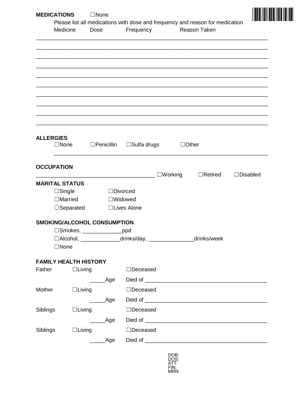| <b>MEDICATIONS</b>    |                              | $\Box$ None                                                                                                                                                                                                                                                                                                                                    |                                                                      |                   |                                                                                                      |                 |  |
|-----------------------|------------------------------|------------------------------------------------------------------------------------------------------------------------------------------------------------------------------------------------------------------------------------------------------------------------------------------------------------------------------------------------|----------------------------------------------------------------------|-------------------|------------------------------------------------------------------------------------------------------|-----------------|--|
|                       | Medicine                     | Dose                                                                                                                                                                                                                                                                                                                                           | Frequency                                                            |                   | Please list all medications with dose and frequency and reason for medication<br><b>Reason Taken</b> |                 |  |
|                       |                              |                                                                                                                                                                                                                                                                                                                                                |                                                                      |                   |                                                                                                      |                 |  |
|                       |                              |                                                                                                                                                                                                                                                                                                                                                |                                                                      |                   |                                                                                                      |                 |  |
|                       |                              |                                                                                                                                                                                                                                                                                                                                                |                                                                      |                   |                                                                                                      |                 |  |
|                       |                              |                                                                                                                                                                                                                                                                                                                                                |                                                                      |                   |                                                                                                      |                 |  |
|                       |                              |                                                                                                                                                                                                                                                                                                                                                |                                                                      |                   |                                                                                                      |                 |  |
| <b>ALLERGIES</b>      | $\Box$ None                  | $\Box$ Penicillin                                                                                                                                                                                                                                                                                                                              | $\Box$ Sulfa drugs                                                   |                   | $\Box$ Other                                                                                         |                 |  |
| <b>OCCUPATION</b>     |                              |                                                                                                                                                                                                                                                                                                                                                |                                                                      | $\square$ Working | $\Box$ Retired                                                                                       | $\Box$ Disabled |  |
| <b>MARITAL STATUS</b> |                              |                                                                                                                                                                                                                                                                                                                                                |                                                                      |                   |                                                                                                      |                 |  |
|                       | $\Box$ Single                |                                                                                                                                                                                                                                                                                                                                                | $\Box$ Divorced                                                      |                   |                                                                                                      |                 |  |
|                       | $\Box$ Married               |                                                                                                                                                                                                                                                                                                                                                | $\square$ Widowed                                                    |                   |                                                                                                      |                 |  |
|                       | $\Box$ Separated             |                                                                                                                                                                                                                                                                                                                                                | □Lives Alone                                                         |                   |                                                                                                      |                 |  |
|                       |                              | <b>SMOKING/ALCOHOL CONSUMPTION</b>                                                                                                                                                                                                                                                                                                             |                                                                      |                   |                                                                                                      |                 |  |
|                       |                              | □Smokes, ________________ppd                                                                                                                                                                                                                                                                                                                   |                                                                      |                   |                                                                                                      |                 |  |
|                       |                              |                                                                                                                                                                                                                                                                                                                                                | □Alcohol, ________________drinks/day, ___________________drinks/week |                   |                                                                                                      |                 |  |
|                       | $\Box$ None                  |                                                                                                                                                                                                                                                                                                                                                |                                                                      |                   |                                                                                                      |                 |  |
|                       | <b>FAMILY HEALTH HISTORY</b> |                                                                                                                                                                                                                                                                                                                                                |                                                                      |                   |                                                                                                      |                 |  |
| Father                | $\Box$ Living                |                                                                                                                                                                                                                                                                                                                                                | $\Box$ Deceased                                                      |                   |                                                                                                      |                 |  |
|                       |                              | _____Age                                                                                                                                                                                                                                                                                                                                       |                                                                      |                   |                                                                                                      |                 |  |
| Mother                | $\Box$ Living                |                                                                                                                                                                                                                                                                                                                                                | $\Box$ Deceased                                                      |                   |                                                                                                      |                 |  |
|                       |                              | $\rule{1em}{0.15mm} \begin{picture}(180,10) \put(0,0){\dashbox{0.5}(10.15) \put(0,0){\dashbox{0.5}(10.15) \put(0,0){\dashbox{0.5}(10.15) \put(0,0){\dashbox{0.5}(10.15) \put(0,0){\dashbox{0.5}(10.15) \put(0,0){\dashbox{0.5}(10.15) \put(0,0){\dashbox{0.5}(10.15) \put(0,0){\dashbox{0.5}(10.15) \put(0,0){\dashbox{0.5}(10.15) \put(0,0){$ |                                                                      |                   |                                                                                                      |                 |  |
| Siblings              | $\Box$ Living                |                                                                                                                                                                                                                                                                                                                                                | $\Box$ Deceased                                                      |                   |                                                                                                      |                 |  |
|                       |                              |                                                                                                                                                                                                                                                                                                                                                |                                                                      |                   |                                                                                                      |                 |  |
|                       |                              | ______Age                                                                                                                                                                                                                                                                                                                                      |                                                                      |                   |                                                                                                      |                 |  |
| Siblings              | $\Box$ Living                |                                                                                                                                                                                                                                                                                                                                                | $\Box$ Deceased                                                      |                   |                                                                                                      |                 |  |
|                       |                              | ______Age                                                                                                                                                                                                                                                                                                                                      |                                                                      |                   |                                                                                                      |                 |  |

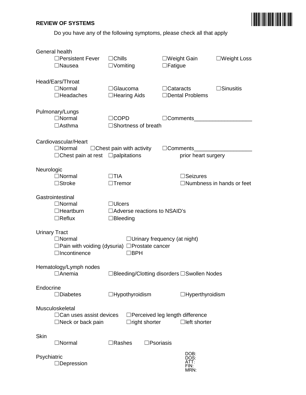#### **REVIEW OF SYSTEMS**

Do you have any of the following symptoms, please check all that apply

|                      | General health<br>$\Box$ Persistent Fever<br>$\Box$ Nausea                              | $\Box$ Chills<br>$\Box$ Vomiting |                                                           | $\Box$ Fatigue      | $\square$ Weight Gain                       | $\square$ Weight Loss                             |
|----------------------|-----------------------------------------------------------------------------------------|----------------------------------|-----------------------------------------------------------|---------------------|---------------------------------------------|---------------------------------------------------|
|                      | Head/Ears/Throat<br>$\Box$ Normal<br>$\Box$ Headaches                                   | $\Box$ Glaucoma                  | $\Box$ Hearing Aids                                       | $\Box$ Cataracts    | □Dental Problems                            | $\Box$ Sinusitis                                  |
|                      | Pulmonary/Lungs<br>$\Box$ Normal<br>$\Box$ Asthma                                       | $\Box$ COPD                      | $\Box$ Shortness of breath                                |                     |                                             | □Comments______________________                   |
|                      | Cardiovascular/Heart<br>$\Box$ Normal<br>$\Box$ Chest pain at rest $\Box$ palpitations  |                                  | $\Box$ Chest pain with activity                           | $\Box$ Comments     | prior heart surgery                         | <u> 1989 - Johann Barbara, martxa alemaniar a</u> |
| Neurologic           | $\Box$ Normal<br>$\Box$ Stroke                                                          | $\Box$ TIA<br>$\Box$ Tremor      |                                                           |                     | $\Box$ Seizures                             | $\Box$ Numbness in hands or feet                  |
|                      | Gastrointestinal<br>$\Box$ Normal<br>$\Box$ Heartburn<br>$\Box$ Reflux                  | $\Box$ Ulcers<br>$\Box$ Bleeding | $\Box$ Adverse reactions to NSAID's                       |                     |                                             |                                                   |
| <b>Urinary Tract</b> | $\Box$ Normal<br>□ Pain with voiding (dysuria) □ Prostate cancer<br>$\Box$ Incontinence |                                  | $\Box$ Urinary frequency (at night)<br>$\Box$ BPH         |                     |                                             |                                                   |
|                      | Hematology/Lymph nodes<br>□Anemia                                                       |                                  |                                                           |                     | □Bleeding/Clotting disorders □Swollen Nodes |                                                   |
| Endocrine            | $\Box$ Diabetes                                                                         |                                  | $\Box$ Hypothyroidism                                     |                     | $\Box$ Hyperthyroidism                      |                                                   |
|                      | Musculoskeletal<br>$\Box$ Can uses assist devices<br>$\Box$ Neck or back pain           |                                  | □ Perceived leg length difference<br>$\Box$ right shorter |                     | $\Box$ left shorter                         |                                                   |
| Skin                 | $\Box$ Normal                                                                           | $\Box$ Rashes                    |                                                           | $\square$ Psoriasis |                                             |                                                   |
| Psychiatric          | $\Box$ Depression                                                                       |                                  |                                                           |                     | DOB:<br>DOS:<br>ATT:<br>FIN:<br>MRN:        |                                                   |

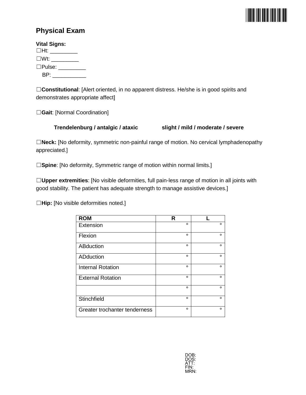

### **Physical Exam**

| <b>Vital Signs:</b>      |                      |
|--------------------------|----------------------|
| $\square$ Ht: __________ |                      |
| $\square Wt$ :           |                      |
|                          | $\Box$ Pulse: $\Box$ |
| BP: __                   |                      |

☐**Constitutional**: [Alert oriented, in no apparent distress. He/she is in good spirits and demonstrates appropriate affect]

☐**Gait**: [Normal Coordination]

#### **Trendelenburg / antalgic / ataxic slight / mild / moderate / severe**

☐**Neck:** [No deformity, symmetric non-painful range of motion. No cervical lymphadenopathy appreciated.]

□Spine: [No deformity, Symmetric range of motion within normal limits.]

☐**Upper extremities**: [No visible deformities, full pain-less range of motion in all joints with good stability. The patient has adequate strength to manage assistive devices.]

☐**Hip:** [No visible deformities noted.]

| <b>ROM</b>                    | R       |         |
|-------------------------------|---------|---------|
| Extension                     | $\circ$ | $\circ$ |
| Flexion                       | $\circ$ | $\circ$ |
| <b>ABduction</b>              | $\circ$ | $\circ$ |
| ADduction                     | $\circ$ | $\circ$ |
| <b>Internal Rotation</b>      | $\circ$ | $\circ$ |
| <b>External Rotation</b>      | $\circ$ | $\circ$ |
|                               | $\circ$ | $\circ$ |
| Stinchfield                   | $\circ$ | $\circ$ |
| Greater trochanter tenderness | $\circ$ | $\circ$ |

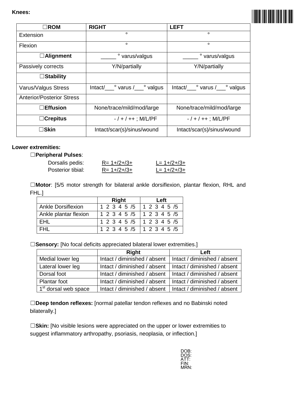

| $\Box$ ROM                       | <b>RIGHT</b>                                 | LEFT                             |
|----------------------------------|----------------------------------------------|----------------------------------|
| Extension                        | $\circ$                                      | $\circ$                          |
| Flexion                          | $\circ$                                      | $\circ$                          |
| $\Box$ Alignment                 | ° varus/valgus                               | ° varus/valgus                   |
| Passively corrects               | Y/N/partially                                | Y/N/partially                    |
| $\Box$ Stability                 |                                              |                                  |
| Varus/Valgus Stress              | $Intact/\_\_\circ$ varus $/\_\_\circ$ valgus | Intact/____° varus /____° valgus |
| <b>Anterior/Posterior Stress</b> |                                              |                                  |
| $\Box$ Effusion                  | None/trace/mild/mod/large                    | None/trace/mild/mod/large        |
| $\Box$ Crepitus                  | $- / + / + +$ ; M/L/PF                       | $- / + / + +$ ; M/L/PF           |
| ∃Skin                            | Intact/scar(s)/sinus/wound                   | Intact/scar(s)/sinus/wound       |

#### **Lower extremities:**

#### ☐**Peripheral Pulses**:

| Dorsalis pedis:   | $R = 1 + 2 + 3 +$ | $L = 1 + 2 + 3 +$ |
|-------------------|-------------------|-------------------|
| Posterior tibial: | $R = 1 + 2 + 3 +$ | $L = 1 + 2 + 3 +$ |

☐**Motor**: [5/5 motor strength for bilateral ankle dorsiflexion, plantar flexion, RHL and FHL.]

|                           | <b>Right</b>              | Left |
|---------------------------|---------------------------|------|
| <b>Ankle Dorsiflexion</b> | 1 2 3 4 5 /5 1 2 3 4 5 /5 |      |
| Ankle plantar flexion     | 1 2 3 4 5 /5 1 2 3 4 5 /5 |      |
| EHL                       | 1 2 3 4 5 /5 1 2 3 4 5 /5 |      |
| <b>FHI</b>                | 1 2 3 4 5 /5 1 2 3 4 5 /5 |      |

□Sensory: [No focal deficits appreciated bilateral lower extremities.]

|                                  | Right                                                       | Left |
|----------------------------------|-------------------------------------------------------------|------|
| Medial lower leg                 | Intact / diminished / absent   Intact / diminished / absent |      |
| Lateral lower leg                | Intact / diminished / absent   Intact / diminished / absent |      |
| Dorsal foot                      | Intact / diminished / absent   Intact / diminished / absent |      |
| Plantar foot                     | Intact / diminished / absent   Intact / diminished / absent |      |
| 1 <sup>st</sup> dorsal web space | Intact / diminished / absent   Intact / diminished / absent |      |

☐**Deep tendon reflexes:** [normal patellar tendon reflexes and no Babinski noted bilaterally.]

□Skin: [No visible lesions were appreciated on the upper or lower extremities to suggest inflammatory arthropathy, psoriasis, neoplasia, or inflection.]